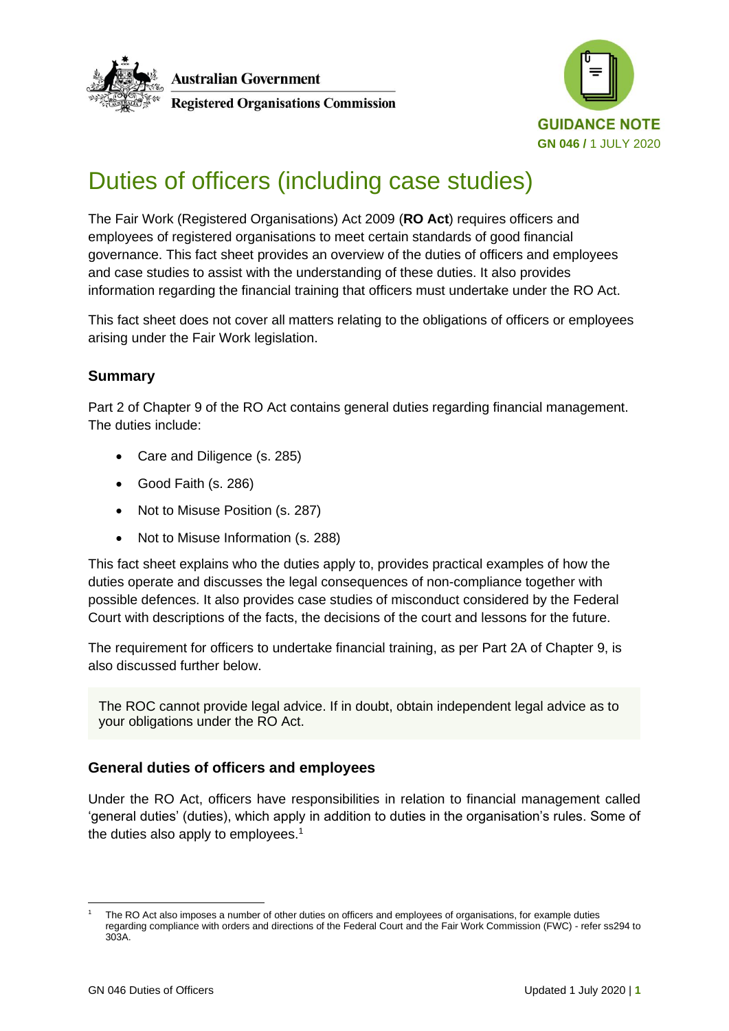



# Duties of officers (including case studies)

The Fair Work (Registered Organisations) Act 2009 (**RO Act**) requires officers and employees of registered organisations to meet certain standards of good financial governance. This fact sheet provides an overview of the duties of officers and employees and case studies to assist with the understanding of these duties. It also provides information regarding the financial training that officers must undertake under the RO Act.

This fact sheet does not cover all matters relating to the obligations of officers or employees arising under the Fair Work legislation.

# **Summary**

Part 2 of Chapter 9 of the RO Act contains general duties regarding financial management. The duties include:

- Care and Diligence (s. 285)
- Good Faith (s. 286)
- Not to Misuse Position (s. 287)
- Not to Misuse Information (s. 288)

This fact sheet explains who the duties apply to, provides practical examples of how the duties operate and discusses the legal consequences of non-compliance together with possible defences. It also provides case studies of misconduct considered by the Federal Court with descriptions of the facts, the decisions of the court and lessons for the future.

The requirement for officers to undertake financial training, as per Part 2A of Chapter 9, is also discussed further below.

The ROC cannot provide legal advice. If in doubt, obtain independent legal advice as to your obligations under the RO Act.

# **General duties of officers and employees**

Under the RO Act, officers have responsibilities in relation to financial management called 'general duties' (duties), which apply in addition to duties in the organisation's rules. Some of the duties also apply to employees.<sup>1</sup>

The RO Act also imposes a number of other duties on officers and employees of organisations, for example duties regarding compliance with orders and directions of the Federal Court and the Fair Work Commission (FWC) - refer ss294 to 303A.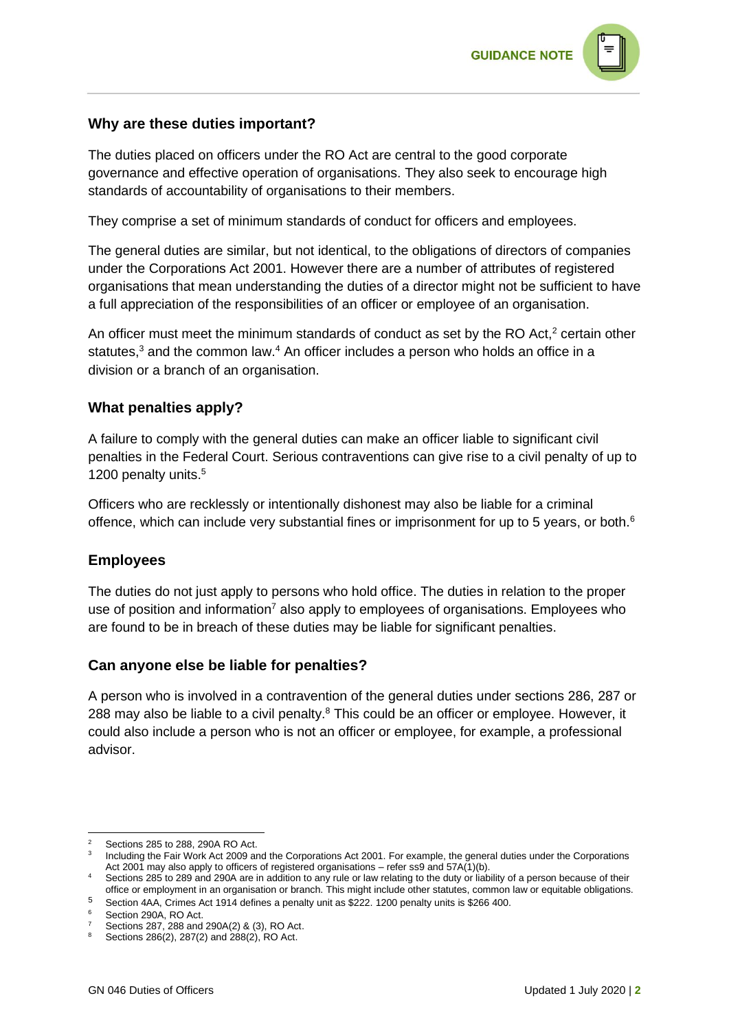

#### **Why are these duties important?**

The duties placed on officers under the RO Act are central to the good corporate governance and effective operation of organisations. They also seek to encourage high standards of accountability of organisations to their members.

They comprise a set of minimum standards of conduct for officers and employees.

The general duties are similar, but not identical, to the obligations of directors of companies under the Corporations Act 2001. However there are a number of attributes of registered organisations that mean understanding the duties of a director might not be sufficient to have a full appreciation of the responsibilities of an officer or employee of an organisation.

An officer must meet the minimum standards of conduct as set by the RO Act, $2$  certain other statutes, $3$  and the common law. $4$  An officer includes a person who holds an office in a division or a branch of an organisation.

#### **What penalties apply?**

A failure to comply with the general duties can make an officer liable to significant civil penalties in the Federal Court. Serious contraventions can give rise to a civil penalty of up to 1200 penalty units.<sup>5</sup>

Officers who are recklessly or intentionally dishonest may also be liable for a criminal offence, which can include very substantial fines or imprisonment for up to 5 years, or both.<sup>6</sup>

#### **Employees**

The duties do not just apply to persons who hold office. The duties in relation to the proper use of position and information<sup>7</sup> also apply to employees of organisations. Employees who are found to be in breach of these duties may be liable for significant penalties.

#### **Can anyone else be liable for penalties?**

A person who is involved in a contravention of the general duties under sections 286, 287 or 288 may also be liable to a civil penalty.<sup>8</sup> This could be an officer or employee. However, it could also include a person who is not an officer or employee, for example, a professional advisor.

<sup>2</sup> Sections 285 to 288, 290A RO Act.

<sup>&</sup>lt;sup>3</sup> Including the Fair Work Act 2009 and the Corporations Act 2001. For example, the general duties under the Corporations Act 2001 may also apply to officers of registered organisations – refer ss9 and 57A(1)(b).

<sup>4</sup> Sections 285 to 289 and 290A are in addition to any rule or law relating to the duty or liability of a person because of their office or employment in an organisation or branch. This might include other statutes, common law or equitable obligations.

<sup>5</sup> Section 4AA, Crimes Act 1914 defines a penalty unit as \$222. 1200 penalty units is \$266 400.

Section 290A, RO Act.

Sections 287, 288 and 290A(2) & (3), RO Act.

 $8$  Sections 286(2), 287(2) and 288(2), RO Act.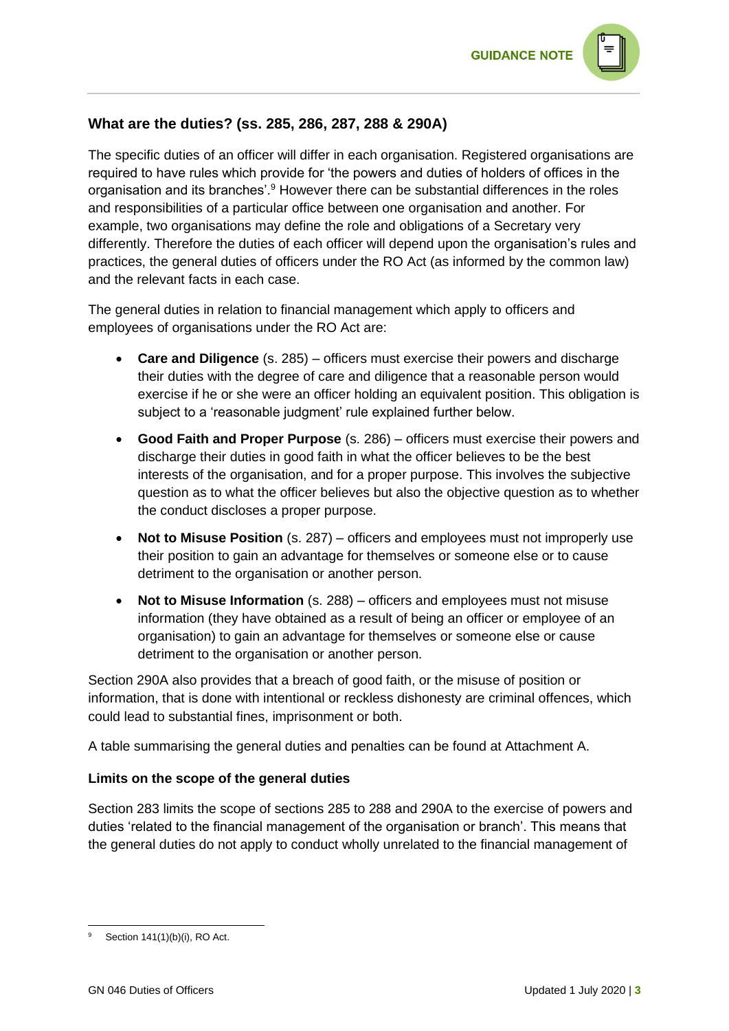# **What are the duties? (ss. 285, 286, 287, 288 & 290A)**

The specific duties of an officer will differ in each organisation. Registered organisations are required to have rules which provide for 'the powers and duties of holders of offices in the organisation and its branches'.<sup>9</sup> However there can be substantial differences in the roles and responsibilities of a particular office between one organisation and another. For example, two organisations may define the role and obligations of a Secretary very differently. Therefore the duties of each officer will depend upon the organisation's rules and practices, the general duties of officers under the RO Act (as informed by the common law) and the relevant facts in each case.

The general duties in relation to financial management which apply to officers and employees of organisations under the RO Act are:

- **Care and Diligence** (s. 285) officers must exercise their powers and discharge their duties with the degree of care and diligence that a reasonable person would exercise if he or she were an officer holding an equivalent position. This obligation is subject to a 'reasonable judgment' rule explained further below.
- **Good Faith and Proper Purpose** (s. 286) officers must exercise their powers and discharge their duties in good faith in what the officer believes to be the best interests of the organisation, and for a proper purpose. This involves the subjective question as to what the officer believes but also the objective question as to whether the conduct discloses a proper purpose.
- **Not to Misuse Position** (s. 287) officers and employees must not improperly use their position to gain an advantage for themselves or someone else or to cause detriment to the organisation or another person.
- **Not to Misuse Information** (s. 288) officers and employees must not misuse information (they have obtained as a result of being an officer or employee of an organisation) to gain an advantage for themselves or someone else or cause detriment to the organisation or another person.

Section 290A also provides that a breach of good faith, or the misuse of position or information, that is done with intentional or reckless dishonesty are criminal offences, which could lead to substantial fines, imprisonment or both.

A table summarising the general duties and penalties can be found at Attachment A.

#### **Limits on the scope of the general duties**

Section 283 limits the scope of sections 285 to 288 and 290A to the exercise of powers and duties 'related to the financial management of the organisation or branch'. This means that the general duties do not apply to conduct wholly unrelated to the financial management of

Section 141(1)(b)(i), RO Act.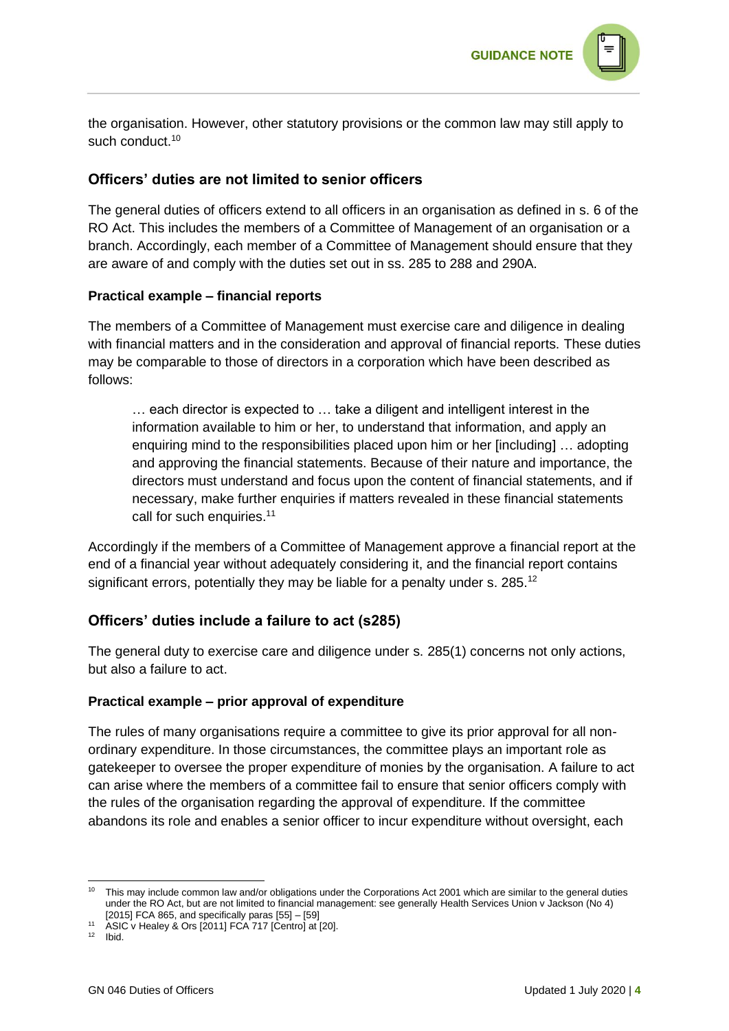

the organisation. However, other statutory provisions or the common law may still apply to such conduct.<sup>10</sup>

# **Officers' duties are not limited to senior officers**

The general duties of officers extend to all officers in an organisation as defined in s. 6 of the RO Act. This includes the members of a Committee of Management of an organisation or a branch. Accordingly, each member of a Committee of Management should ensure that they are aware of and comply with the duties set out in ss. 285 to 288 and 290A.

#### **Practical example – financial reports**

The members of a Committee of Management must exercise care and diligence in dealing with financial matters and in the consideration and approval of financial reports. These duties may be comparable to those of directors in a corporation which have been described as follows:

… each director is expected to … take a diligent and intelligent interest in the information available to him or her, to understand that information, and apply an enquiring mind to the responsibilities placed upon him or her [including] … adopting and approving the financial statements. Because of their nature and importance, the directors must understand and focus upon the content of financial statements, and if necessary, make further enquiries if matters revealed in these financial statements call for such enquiries.<sup>11</sup>

Accordingly if the members of a Committee of Management approve a financial report at the end of a financial year without adequately considering it, and the financial report contains significant errors, potentially they may be liable for a penalty under s. 285.<sup>12</sup>

# **Officers' duties include a failure to act (s285)**

The general duty to exercise care and diligence under s. 285(1) concerns not only actions, but also a failure to act.

#### **Practical example – prior approval of expenditure**

The rules of many organisations require a committee to give its prior approval for all nonordinary expenditure. In those circumstances, the committee plays an important role as gatekeeper to oversee the proper expenditure of monies by the organisation. A failure to act can arise where the members of a committee fail to ensure that senior officers comply with the rules of the organisation regarding the approval of expenditure. If the committee abandons its role and enables a senior officer to incur expenditure without oversight, each

<sup>&</sup>lt;sup>10</sup> This may include common law and/or obligations under the Corporations Act 2001 which are similar to the general duties under the RO Act, but are not limited to financial management: see generally Health Services Union v Jackson (No 4) [2015] FCA 865, and specifically paras [55] – [59]

<sup>11</sup> ASIC v Healey & Ors [2011] FCA 717 [Centro] at [20].

 $12$  Ibid.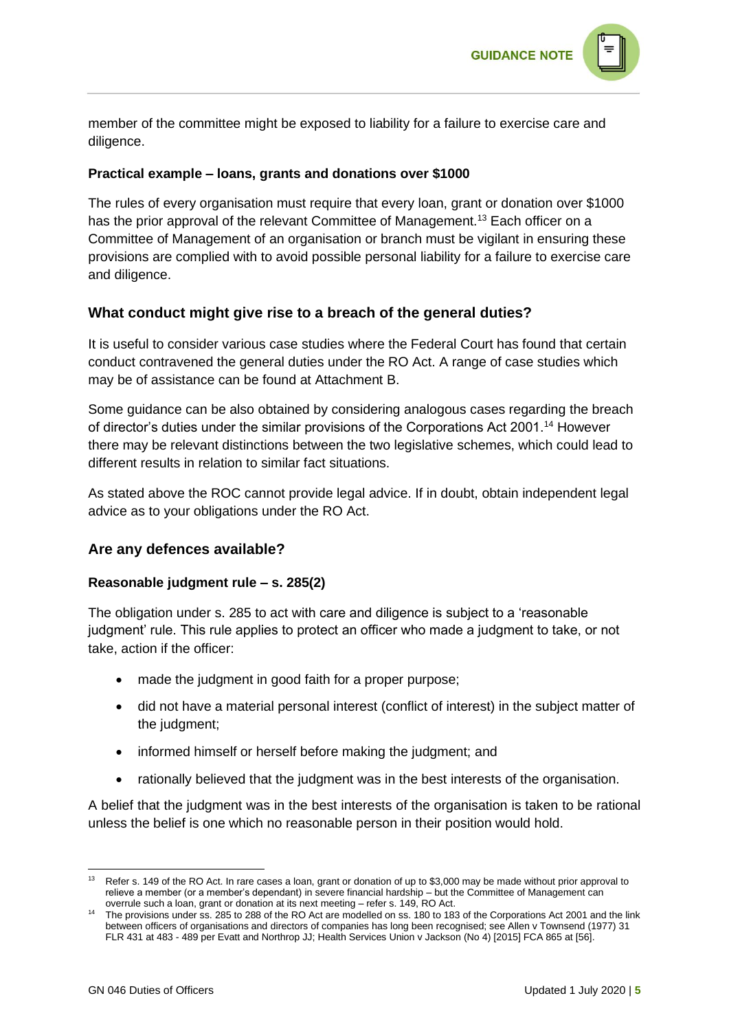

member of the committee might be exposed to liability for a failure to exercise care and diligence.

#### **Practical example – loans, grants and donations over \$1000**

The rules of every organisation must require that every loan, grant or donation over \$1000 has the prior approval of the relevant Committee of Management.<sup>13</sup> Each officer on a Committee of Management of an organisation or branch must be vigilant in ensuring these provisions are complied with to avoid possible personal liability for a failure to exercise care and diligence.

#### **What conduct might give rise to a breach of the general duties?**

It is useful to consider various case studies where the Federal Court has found that certain conduct contravened the general duties under the RO Act. A range of case studies which may be of assistance can be found at Attachment B.

Some guidance can be also obtained by considering analogous cases regarding the breach of director's duties under the similar provisions of the Corporations Act 2001.<sup>14</sup> However there may be relevant distinctions between the two legislative schemes, which could lead to different results in relation to similar fact situations.

As stated above the ROC cannot provide legal advice. If in doubt, obtain independent legal advice as to your obligations under the RO Act.

#### **Are any defences available?**

#### **Reasonable judgment rule – s. 285(2)**

The obligation under s. 285 to act with care and diligence is subject to a 'reasonable judgment' rule. This rule applies to protect an officer who made a judgment to take, or not take, action if the officer:

- made the judgment in good faith for a proper purpose;
- did not have a material personal interest (conflict of interest) in the subject matter of the judgment;
- informed himself or herself before making the judgment; and
- rationally believed that the judgment was in the best interests of the organisation.

A belief that the judgment was in the best interests of the organisation is taken to be rational unless the belief is one which no reasonable person in their position would hold.

Refer s. 149 of the RO Act. In rare cases a loan, grant or donation of up to \$3,000 may be made without prior approval to relieve a member (or a member's dependant) in severe financial hardship – but the Committee of Management can overrule such a loan, grant or donation at its next meeting – refer s. 149, RO Act.

<sup>&</sup>lt;sup>14</sup> The provisions under ss. 285 to 288 of the RO Act are modelled on ss. 180 to 183 of the Corporations Act 2001 and the link between officers of organisations and directors of companies has long been recognised; see Allen v Townsend (1977) 31 FLR 431 at 483 - 489 per Evatt and Northrop JJ; Health Services Union v Jackson (No 4) [2015] FCA 865 at [56].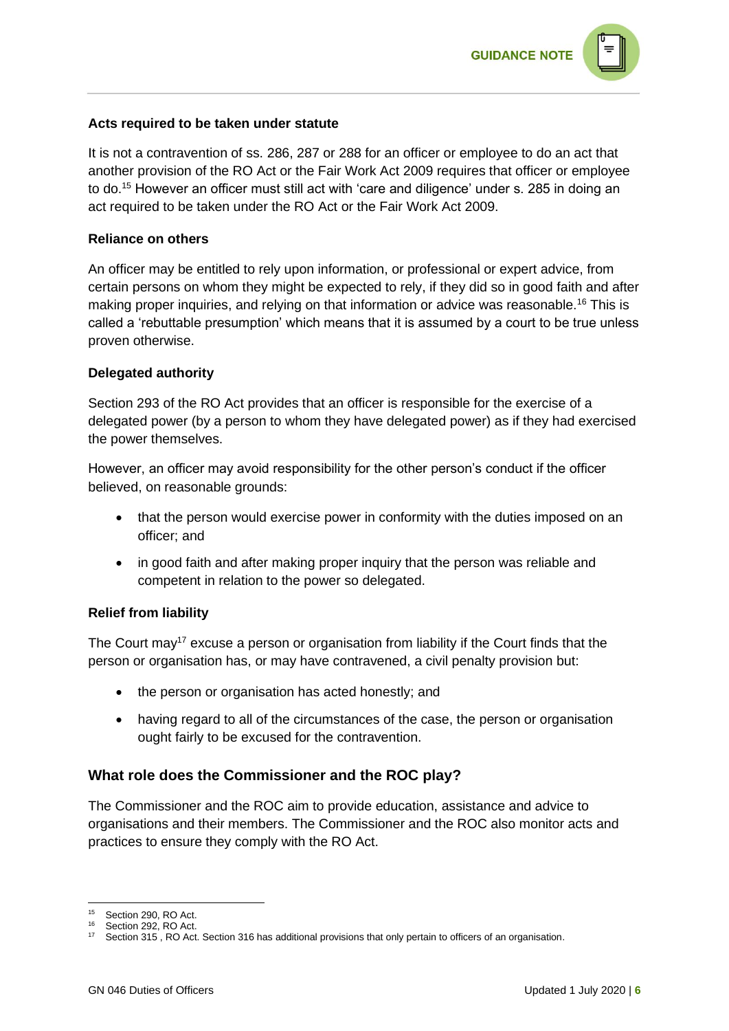

#### **Acts required to be taken under statute**

It is not a contravention of ss. 286, 287 or 288 for an officer or employee to do an act that another provision of the RO Act or the Fair Work Act 2009 requires that officer or employee to do.<sup>15</sup> However an officer must still act with 'care and diligence' under s. 285 in doing an act required to be taken under the RO Act or the Fair Work Act 2009.

#### **Reliance on others**

An officer may be entitled to rely upon information, or professional or expert advice, from certain persons on whom they might be expected to rely, if they did so in good faith and after making proper inquiries, and relying on that information or advice was reasonable.<sup>16</sup> This is called a 'rebuttable presumption' which means that it is assumed by a court to be true unless proven otherwise.

#### **Delegated authority**

Section 293 of the RO Act provides that an officer is responsible for the exercise of a delegated power (by a person to whom they have delegated power) as if they had exercised the power themselves.

However, an officer may avoid responsibility for the other person's conduct if the officer believed, on reasonable grounds:

- that the person would exercise power in conformity with the duties imposed on an officer; and
- in good faith and after making proper inquiry that the person was reliable and competent in relation to the power so delegated.

#### **Relief from liability**

The Court may<sup>17</sup> excuse a person or organisation from liability if the Court finds that the person or organisation has, or may have contravened, a civil penalty provision but:

- the person or organisation has acted honestly; and
- having regard to all of the circumstances of the case, the person or organisation ought fairly to be excused for the contravention.

#### **What role does the Commissioner and the ROC play?**

The Commissioner and the ROC aim to provide education, assistance and advice to organisations and their members. The Commissioner and the ROC also monitor acts and practices to ensure they comply with the RO Act.

<sup>&</sup>lt;sup>15</sup> Section 290, RO Act.

<sup>16</sup> Section 292, RO Act.

<sup>&</sup>lt;sup>17</sup> Section 315, RO Act. Section 316 has additional provisions that only pertain to officers of an organisation.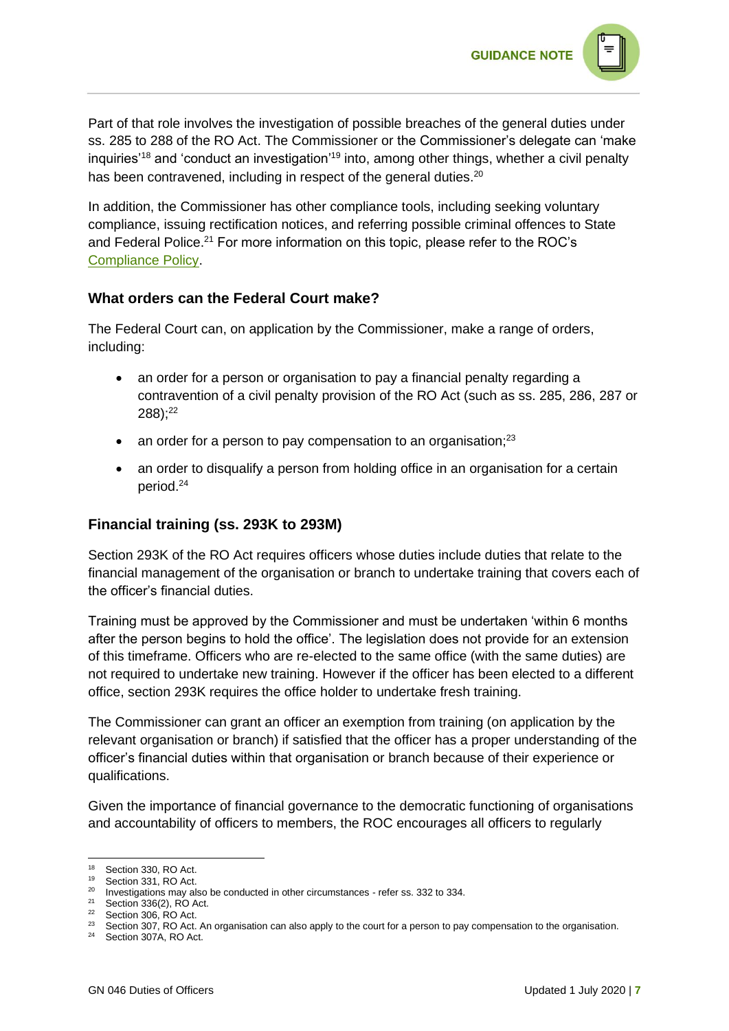Part of that role involves the investigation of possible breaches of the general duties under ss. 285 to 288 of the RO Act. The Commissioner or the Commissioner's delegate can 'make inquiries'<sup>18</sup> and 'conduct an investigation'<sup>19</sup> into, among other things, whether a civil penalty has been contravened, including in respect of the general duties.<sup>20</sup>

**GUIDANCE NOTE** 

In addition, the Commissioner has other compliance tools, including seeking voluntary compliance, issuing rectification notices, and referring possible criminal offences to State and Federal Police.<sup>21</sup> For more information on this topic, please refer to the ROC's [Compliance Policy.](https://www.roc.gov.au/ArticleDocuments/191/pp004-compliance-policy.pdf.aspx)

# **What orders can the Federal Court make?**

The Federal Court can, on application by the Commissioner, make a range of orders, including:

- an order for a person or organisation to pay a financial penalty regarding a contravention of a civil penalty provision of the RO Act (such as ss. 285, 286, 287 or  $288$ );<sup>22</sup>
- an order for a person to pay compensation to an organisation; $23$
- an order to disqualify a person from holding office in an organisation for a certain period.<sup>24</sup>

# **Financial training (ss. 293K to 293M)**

Section 293K of the RO Act requires officers whose duties include duties that relate to the financial management of the organisation or branch to undertake training that covers each of the officer's financial duties.

Training must be approved by the Commissioner and must be undertaken 'within 6 months after the person begins to hold the office'. The legislation does not provide for an extension of this timeframe. Officers who are re-elected to the same office (with the same duties) are not required to undertake new training. However if the officer has been elected to a different office, section 293K requires the office holder to undertake fresh training.

The Commissioner can grant an officer an exemption from training (on application by the relevant organisation or branch) if satisfied that the officer has a proper understanding of the officer's financial duties within that organisation or branch because of their experience or qualifications.

Given the importance of financial governance to the democratic functioning of organisations and accountability of officers to members, the ROC encourages all officers to regularly

 $18$  Section 330, RO Act.<br> $19$  Section 331, RO Act.

Section 331, RO Act.

<sup>20</sup> Investigations may also be conducted in other circumstances - refer ss. 332 to 334.

 $21$  Section 336(2), RO Act.

 $22$  Section 306, RO Act.

 $23$  Section 307, RO Act. An organisation can also apply to the court for a person to pay compensation to the organisation.

<sup>&</sup>lt;sup>24</sup> Section 307A, RO Act.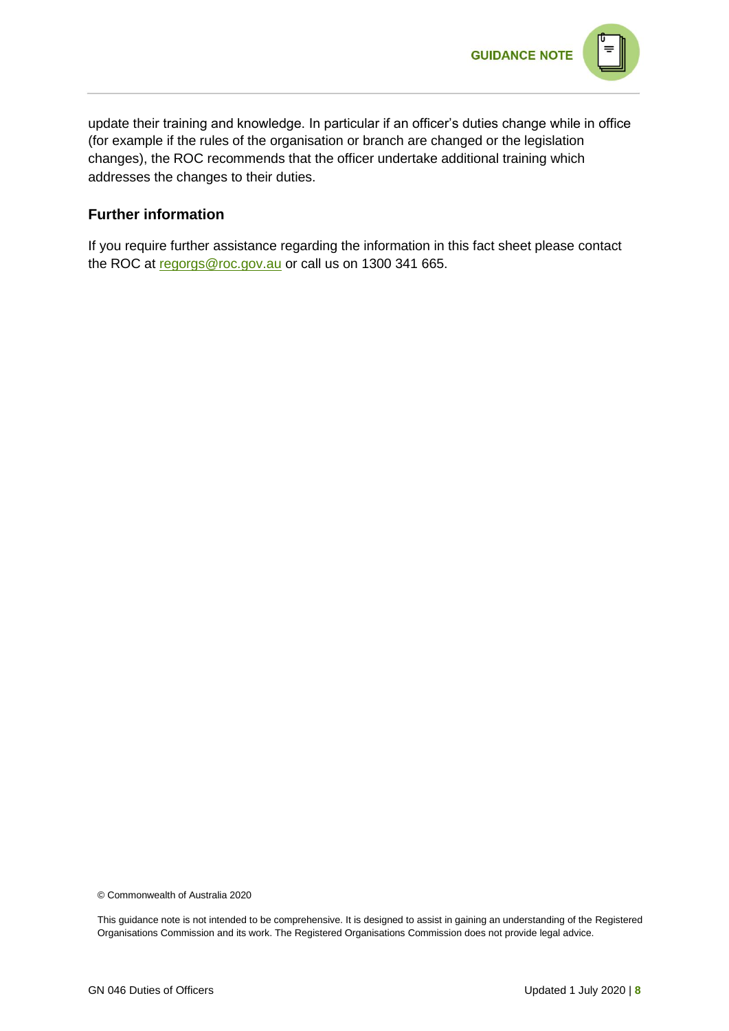

update their training and knowledge. In particular if an officer's duties change while in office (for example if the rules of the organisation or branch are changed or the legislation changes), the ROC recommends that the officer undertake additional training which addresses the changes to their duties.

# **Further information**

If you require further assistance regarding the information in this fact sheet please contact the ROC at [regorgs@roc.gov.au](mailto:regorgs@roc.gov.au) or call us on 1300 341 665.

© Commonwealth of Australia 2020

This guidance note is not intended to be comprehensive. It is designed to assist in gaining an understanding of the Registered Organisations Commission and its work. The Registered Organisations Commission does not provide legal advice.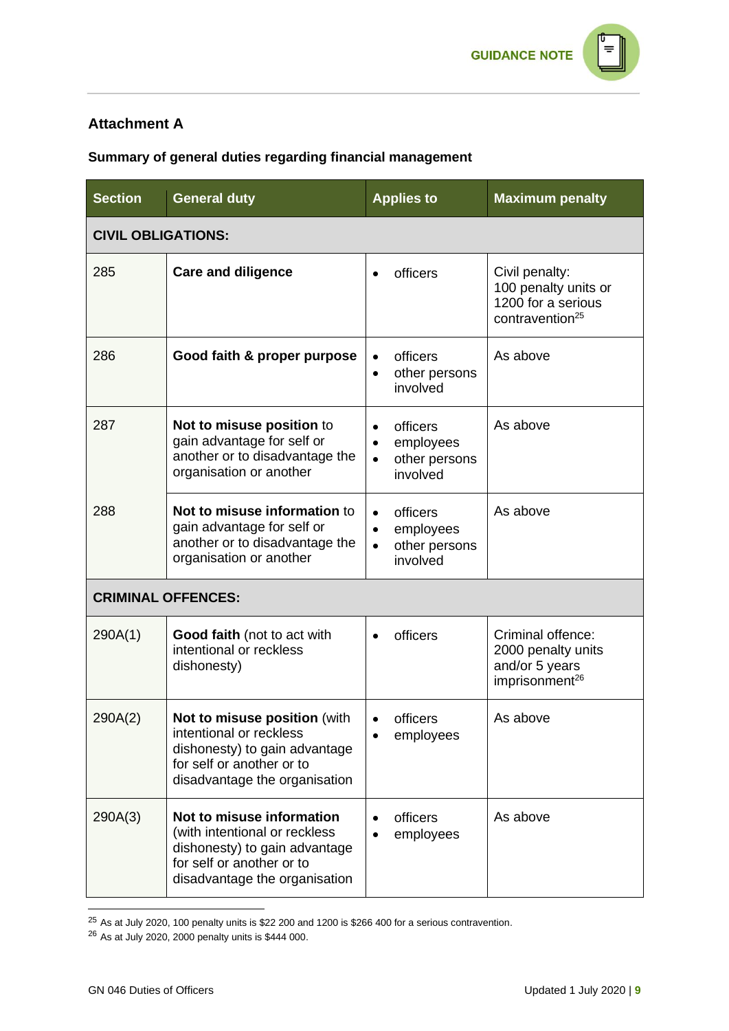# **Attachment A**

# **Summary of general duties regarding financial management**

| <b>Section</b>            | <b>General duty</b>                                                                                                                                       | <b>Applies to</b>                                                            | <b>Maximum penalty</b>                                                                      |
|---------------------------|-----------------------------------------------------------------------------------------------------------------------------------------------------------|------------------------------------------------------------------------------|---------------------------------------------------------------------------------------------|
| <b>CIVIL OBLIGATIONS:</b> |                                                                                                                                                           |                                                                              |                                                                                             |
| 285                       | <b>Care and diligence</b>                                                                                                                                 | officers                                                                     | Civil penalty:<br>100 penalty units or<br>1200 for a serious<br>contravention <sup>25</sup> |
| 286                       | Good faith & proper purpose                                                                                                                               | officers<br>$\bullet$<br>other persons<br>$\bullet$<br>involved              | As above                                                                                    |
| 287                       | Not to misuse position to<br>gain advantage for self or<br>another or to disadvantage the<br>organisation or another                                      | officers<br>$\bullet$<br>employees<br>other persons<br>$\bullet$<br>involved | As above                                                                                    |
| 288                       | Not to misuse information to<br>gain advantage for self or<br>another or to disadvantage the<br>organisation or another                                   | officers<br>$\bullet$<br>employees<br>other persons<br>involved              | As above                                                                                    |
| <b>CRIMINAL OFFENCES:</b> |                                                                                                                                                           |                                                                              |                                                                                             |
| 290A(1)                   | Good faith (not to act with<br>intentional or reckless<br>dishonesty)                                                                                     | officers<br>$\bullet$                                                        | Criminal offence:<br>2000 penalty units<br>and/or 5 years<br>imprisonment <sup>26</sup>     |
| 290A(2)                   | Not to misuse position (with<br>intentional or reckless<br>dishonesty) to gain advantage<br>for self or another or to<br>disadvantage the organisation    | officers<br>employees                                                        | As above                                                                                    |
| 290A(3)                   | Not to misuse information<br>(with intentional or reckless<br>dishonesty) to gain advantage<br>for self or another or to<br>disadvantage the organisation | officers<br>employees                                                        | As above                                                                                    |

 $^{25}$  As at July 2020, 100 penalty units is \$22 200 and 1200 is \$266 400 for a serious contravention.

 $26$  As at July 2020, 2000 penalty units is \$444 000.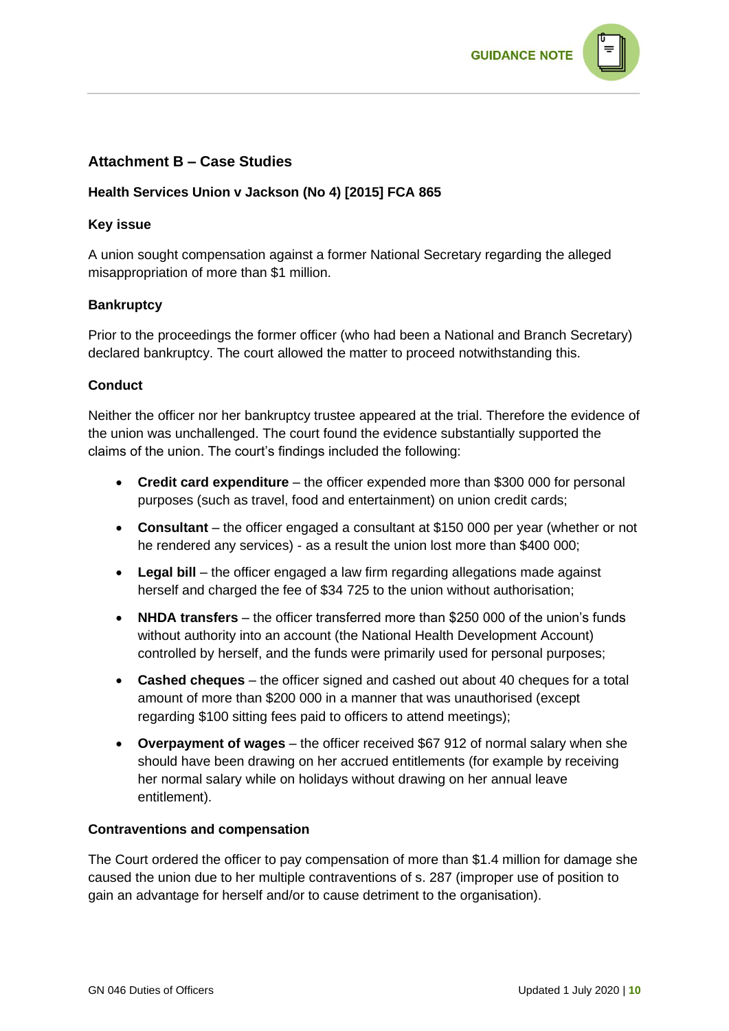

# **Attachment B – Case Studies**

#### **[Health Services Union v Jackson \(No 4\) \[2015\] FCA 865](https://www6.austlii.edu.au/cgi-bin/viewdoc/au/cases/cth/FCA/2015/865.html?context=1;query=%22fwoa2009362%20s285%22;mask_path=)**

#### **Key issue**

A union sought compensation against a former National Secretary regarding the alleged misappropriation of more than \$1 million.

#### **Bankruptcy**

Prior to the proceedings the former officer (who had been a National and Branch Secretary) declared bankruptcy. The court allowed the matter to proceed notwithstanding this.

#### **Conduct**

Neither the officer nor her bankruptcy trustee appeared at the trial. Therefore the evidence of the union was unchallenged. The court found the evidence substantially supported the claims of the union. The court's findings included the following:

- **Credit card expenditure** the officer expended more than \$300 000 for personal purposes (such as travel, food and entertainment) on union credit cards;
- **Consultant** the officer engaged a consultant at \$150 000 per year (whether or not he rendered any services) - as a result the union lost more than \$400 000;
- **Legal bill** the officer engaged a law firm regarding allegations made against herself and charged the fee of \$34 725 to the union without authorisation;
- **NHDA transfers** the officer transferred more than \$250 000 of the union's funds without authority into an account (the National Health Development Account) controlled by herself, and the funds were primarily used for personal purposes;
- **Cashed cheques** the officer signed and cashed out about 40 cheques for a total amount of more than \$200 000 in a manner that was unauthorised (except regarding \$100 sitting fees paid to officers to attend meetings);
- **Overpayment of wages** the officer received \$67 912 of normal salary when she should have been drawing on her accrued entitlements (for example by receiving her normal salary while on holidays without drawing on her annual leave entitlement).

#### **Contraventions and compensation**

The Court ordered the officer to pay compensation of more than \$1.4 million for damage she caused the union due to her multiple contraventions of s. 287 (improper use of position to gain an advantage for herself and/or to cause detriment to the organisation).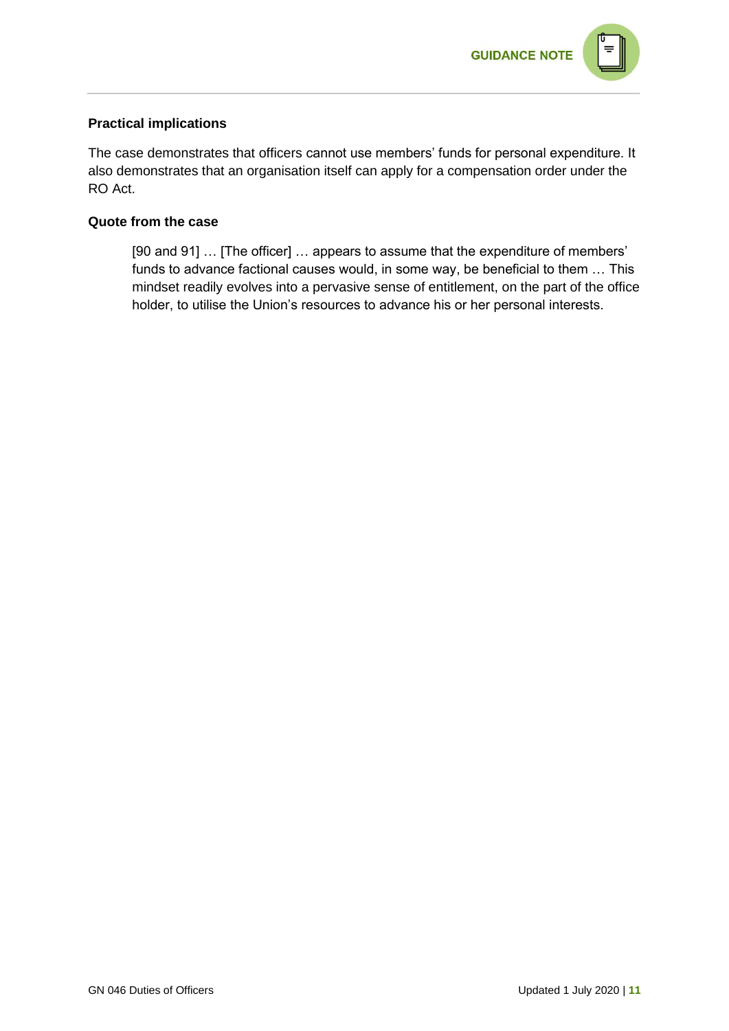

#### **Practical implications**

The case demonstrates that officers cannot use members' funds for personal expenditure. It also demonstrates that an organisation itself can apply for a compensation order under the RO Act.

#### **Quote from the case**

[90 and 91] ... [The officer] ... appears to assume that the expenditure of members' funds to advance factional causes would, in some way, be beneficial to them … This mindset readily evolves into a pervasive sense of entitlement, on the part of the office holder, to utilise the Union's resources to advance his or her personal interests.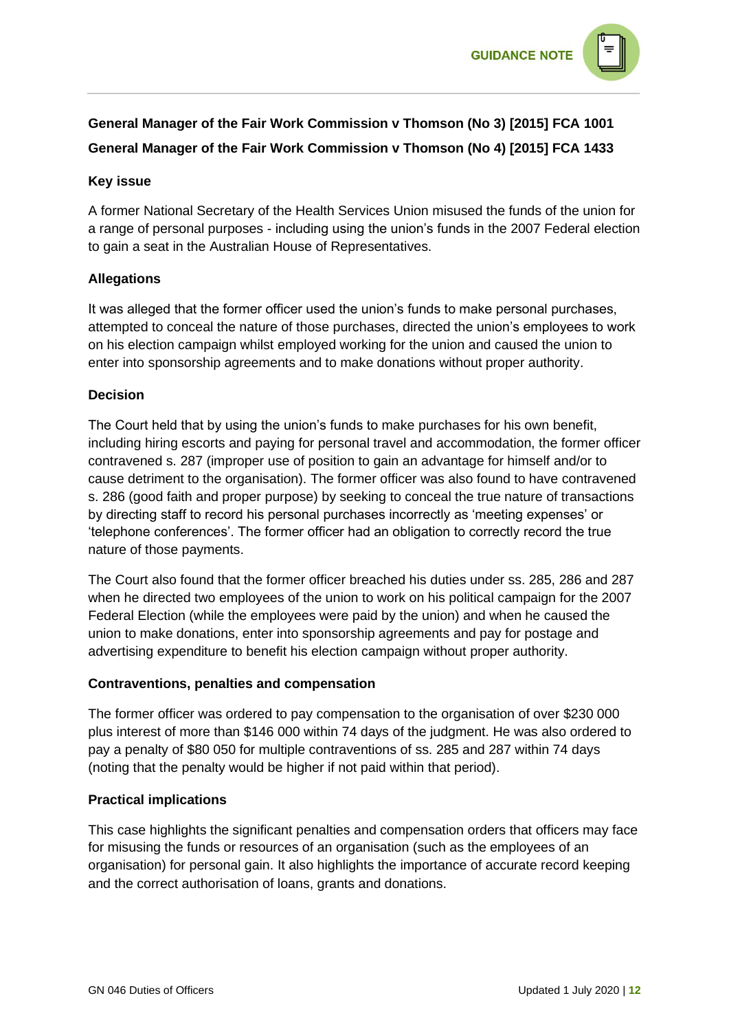

# **General Manager of the Fair Work Commission v Thomson (No 3) [\[2015\] FCA 1001](https://www.austlii.edu.au/cgi-bin/viewdoc/au/cases/cth/FCA/2015/1001.html?context=1;query=General%20Manager%20of%20the%20Fair%20Work%20Commission%20v%20Thomson;mask_path=) General Manager of the Fair Work Commission v Thomson (No 4) [2015] FCA 1433**

#### **Key issue**

A former National Secretary of the Health Services Union misused the funds of the union for a range of personal purposes - including using the union's funds in the 2007 Federal election to gain a seat in the Australian House of Representatives.

#### **Allegations**

It was alleged that the former officer used the union's funds to make personal purchases, attempted to conceal the nature of those purchases, directed the union's employees to work on his election campaign whilst employed working for the union and caused the union to enter into sponsorship agreements and to make donations without proper authority.

#### **Decision**

The Court held that by using the union's funds to make purchases for his own benefit, including hiring escorts and paying for personal travel and accommodation, the former officer contravened s. 287 (improper use of position to gain an advantage for himself and/or to cause detriment to the organisation). The former officer was also found to have contravened s. 286 (good faith and proper purpose) by seeking to conceal the true nature of transactions by directing staff to record his personal purchases incorrectly as 'meeting expenses' or 'telephone conferences'. The former officer had an obligation to correctly record the true nature of those payments.

The Court also found that the former officer breached his duties under ss. 285, 286 and 287 when he directed two employees of the union to work on his political campaign for the 2007 Federal Election (while the employees were paid by the union) and when he caused the union to make donations, enter into sponsorship agreements and pay for postage and advertising expenditure to benefit his election campaign without proper authority.

#### **Contraventions, penalties and compensation**

The former officer was ordered to pay compensation to the organisation of over \$230 000 plus interest of more than \$146 000 within 74 days of the judgment. He was also ordered to pay a penalty of \$80 050 for multiple contraventions of ss. 285 and 287 within 74 days (noting that the penalty would be higher if not paid within that period).

#### **Practical implications**

This case highlights the significant penalties and compensation orders that officers may face for misusing the funds or resources of an organisation (such as the employees of an organisation) for personal gain. It also highlights the importance of accurate record keeping and the correct authorisation of loans, grants and donations.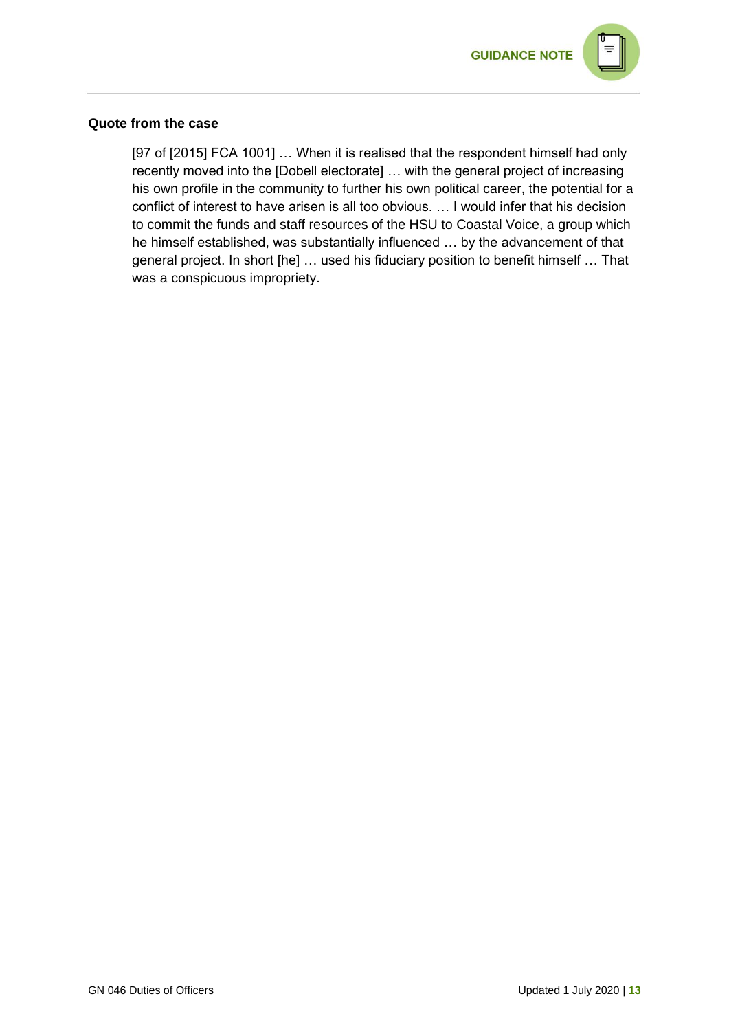

#### **Quote from the case**

[97 of [2015] FCA 1001] ... When it is realised that the respondent himself had only recently moved into the [Dobell electorate] … with the general project of increasing his own profile in the community to further his own political career, the potential for a conflict of interest to have arisen is all too obvious. … I would infer that his decision to commit the funds and staff resources of the HSU to Coastal Voice, a group which he himself established, was substantially influenced … by the advancement of that general project. In short [he] … used his fiduciary position to benefit himself … That was a conspicuous impropriety.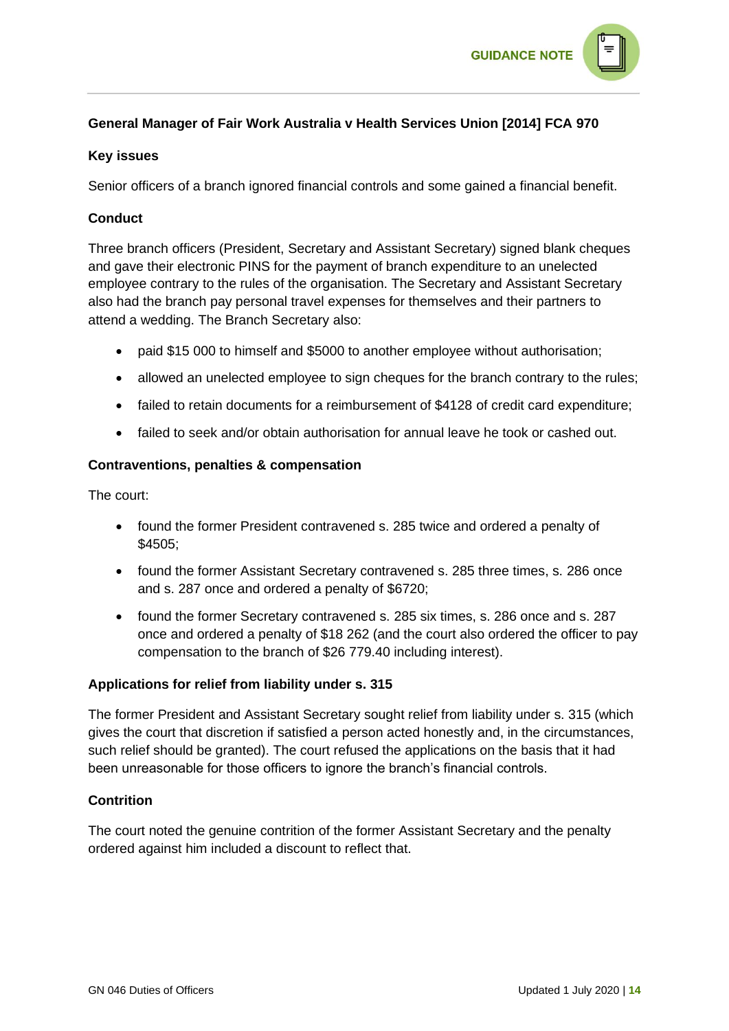

# **General Manager of Fair Work Australia v Health Services Union [\[2014\] FCA 970](https://www6.austlii.edu.au/cgi-bin/viewdoc/au/cases/cth/FCA/2014/970.html?context=1;query=%22fwoa2009362%20s285%22;mask_path=)**

#### **Key issues**

Senior officers of a branch ignored financial controls and some gained a financial benefit.

### **Conduct**

Three branch officers (President, Secretary and Assistant Secretary) signed blank cheques and gave their electronic PINS for the payment of branch expenditure to an unelected employee contrary to the rules of the organisation. The Secretary and Assistant Secretary also had the branch pay personal travel expenses for themselves and their partners to attend a wedding. The Branch Secretary also:

- paid \$15 000 to himself and \$5000 to another employee without authorisation;
- allowed an unelected employee to sign cheques for the branch contrary to the rules;
- failed to retain documents for a reimbursement of \$4128 of credit card expenditure;
- failed to seek and/or obtain authorisation for annual leave he took or cashed out.

#### **Contraventions, penalties & compensation**

The court:

- found the former President contravened s. 285 twice and ordered a penalty of \$4505;
- found the former Assistant Secretary contravened s. 285 three times, s. 286 once and s. 287 once and ordered a penalty of \$6720;
- found the former Secretary contravened s. 285 six times, s. 286 once and s. 287 once and ordered a penalty of \$18 262 (and the court also ordered the officer to pay compensation to the branch of \$26 779.40 including interest).

#### **Applications for relief from liability under s. 315**

The former President and Assistant Secretary sought relief from liability under s. 315 (which gives the court that discretion if satisfied a person acted honestly and, in the circumstances, such relief should be granted). The court refused the applications on the basis that it had been unreasonable for those officers to ignore the branch's financial controls.

#### **Contrition**

The court noted the genuine contrition of the former Assistant Secretary and the penalty ordered against him included a discount to reflect that.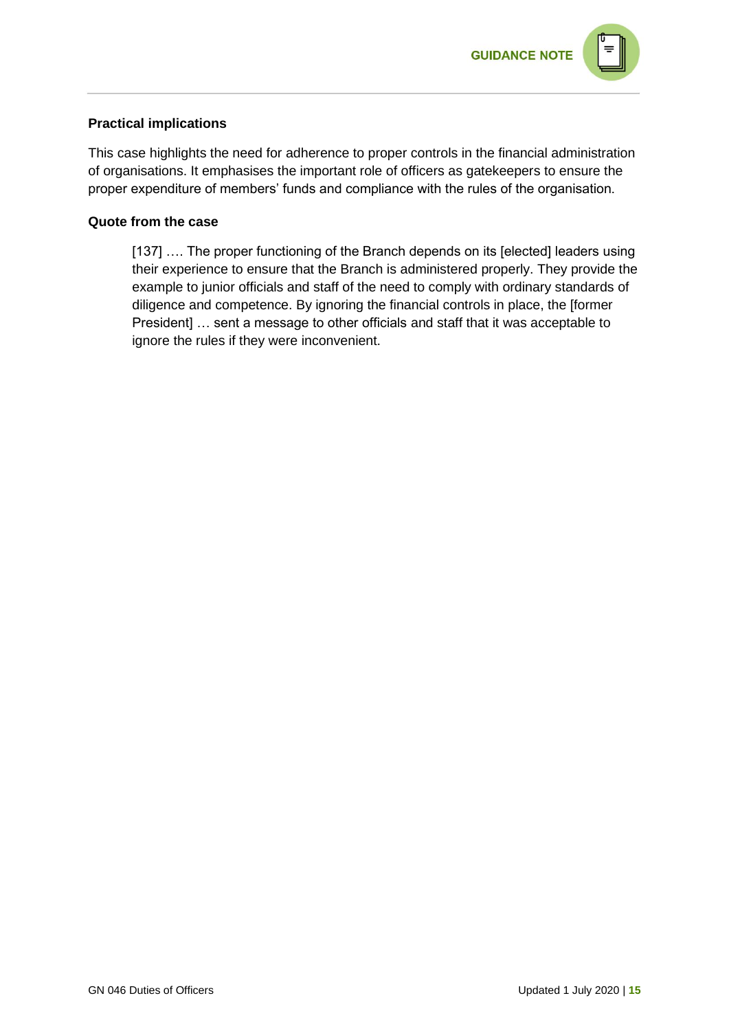

#### **Practical implications**

This case highlights the need for adherence to proper controls in the financial administration of organisations. It emphasises the important role of officers as gatekeepers to ensure the proper expenditure of members' funds and compliance with the rules of the organisation.

#### **Quote from the case**

[137] .... The proper functioning of the Branch depends on its [elected] leaders using their experience to ensure that the Branch is administered properly. They provide the example to junior officials and staff of the need to comply with ordinary standards of diligence and competence. By ignoring the financial controls in place, the [former President] … sent a message to other officials and staff that it was acceptable to ignore the rules if they were inconvenient.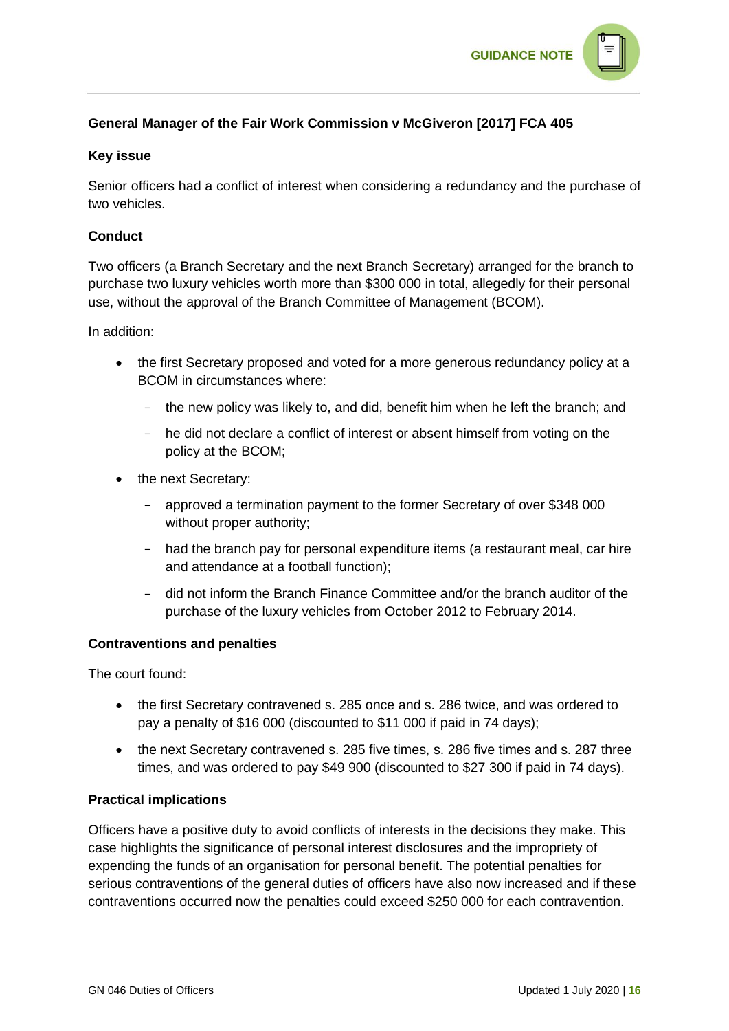

# **General Manager of the Fair Work Commission v McGiveron [2017] FCA 405**

#### **Key issue**

Senior officers had a conflict of interest when considering a redundancy and the purchase of two vehicles.

#### **Conduct**

Two officers (a Branch Secretary and the next Branch Secretary) arranged for the branch to purchase two luxury vehicles worth more than \$300 000 in total, allegedly for their personal use, without the approval of the Branch Committee of Management (BCOM).

In addition:

- the first Secretary proposed and voted for a more generous redundancy policy at a BCOM in circumstances where:
	- the new policy was likely to, and did, benefit him when he left the branch; and
	- he did not declare a conflict of interest or absent himself from voting on the policy at the BCOM;
- the next Secretary:
	- approved a termination payment to the former Secretary of over \$348 000 without proper authority;
	- had the branch pay for personal expenditure items (a restaurant meal, car hire and attendance at a football function);
	- did not inform the Branch Finance Committee and/or the branch auditor of the purchase of the luxury vehicles from October 2012 to February 2014.

#### **Contraventions and penalties**

The court found:

- the first Secretary contravened s. 285 once and s. 286 twice, and was ordered to pay a penalty of \$16 000 (discounted to \$11 000 if paid in 74 days);
- the next Secretary contravened s. 285 five times, s. 286 five times and s. 287 three times, and was ordered to pay \$49 900 (discounted to \$27 300 if paid in 74 days).

#### **Practical implications**

Officers have a positive duty to avoid conflicts of interests in the decisions they make. This case highlights the significance of personal interest disclosures and the impropriety of expending the funds of an organisation for personal benefit. The potential penalties for serious contraventions of the general duties of officers have also now increased and if these contraventions occurred now the penalties could exceed \$250 000 for each contravention.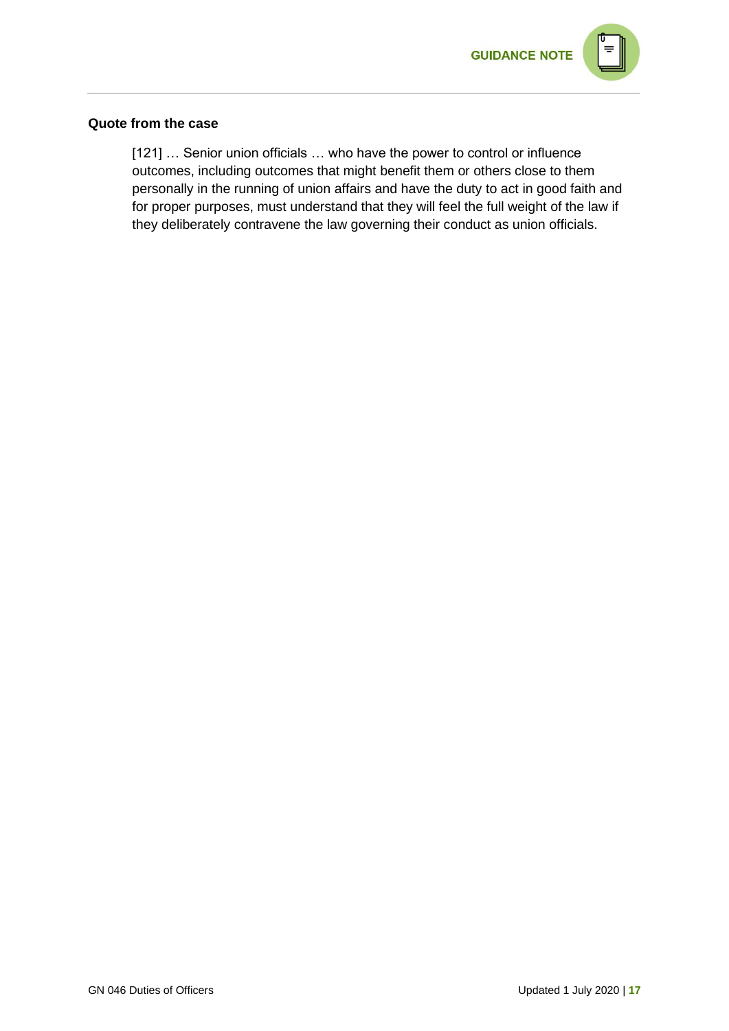

#### **Quote from the case**

[121] ... Senior union officials ... who have the power to control or influence outcomes, including outcomes that might benefit them or others close to them personally in the running of union affairs and have the duty to act in good faith and for proper purposes, must understand that they will feel the full weight of the law if they deliberately contravene the law governing their conduct as union officials.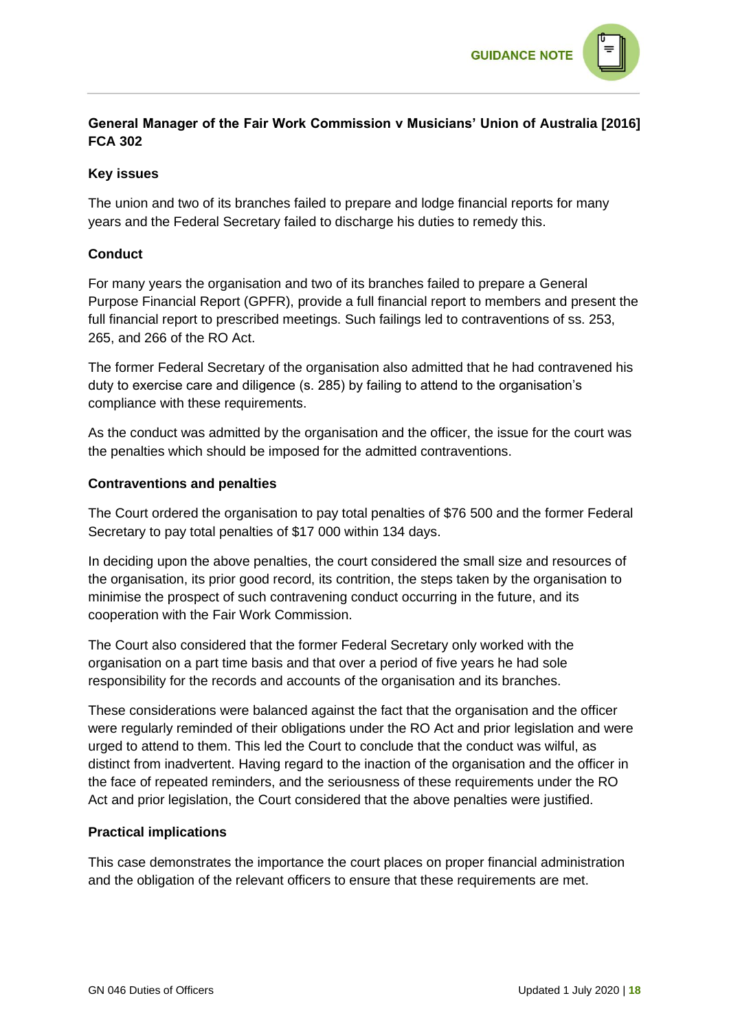

# **General Manager of the Fair Work Commission v Musicians' Union of Australia [2016] FCA 302**

#### **Key issues**

The union and two of its branches failed to prepare and lodge financial reports for many years and the Federal Secretary failed to discharge his duties to remedy this.

#### **Conduct**

For many years the organisation and two of its branches failed to prepare a General Purpose Financial Report (GPFR), provide a full financial report to members and present the full financial report to prescribed meetings. Such failings led to contraventions of ss. 253, 265, and 266 of the RO Act.

The former Federal Secretary of the organisation also admitted that he had contravened his duty to exercise care and diligence (s. 285) by failing to attend to the organisation's compliance with these requirements.

As the conduct was admitted by the organisation and the officer, the issue for the court was the penalties which should be imposed for the admitted contraventions.

#### **Contraventions and penalties**

The Court ordered the organisation to pay total penalties of \$76 500 and the former Federal Secretary to pay total penalties of \$17 000 within 134 days.

In deciding upon the above penalties, the court considered the small size and resources of the organisation, its prior good record, its contrition, the steps taken by the organisation to minimise the prospect of such contravening conduct occurring in the future, and its cooperation with the Fair Work Commission.

The Court also considered that the former Federal Secretary only worked with the organisation on a part time basis and that over a period of five years he had sole responsibility for the records and accounts of the organisation and its branches.

These considerations were balanced against the fact that the organisation and the officer were regularly reminded of their obligations under the RO Act and prior legislation and were urged to attend to them. This led the Court to conclude that the conduct was wilful, as distinct from inadvertent. Having regard to the inaction of the organisation and the officer in the face of repeated reminders, and the seriousness of these requirements under the RO Act and prior legislation, the Court considered that the above penalties were justified.

#### **Practical implications**

This case demonstrates the importance the court places on proper financial administration and the obligation of the relevant officers to ensure that these requirements are met.